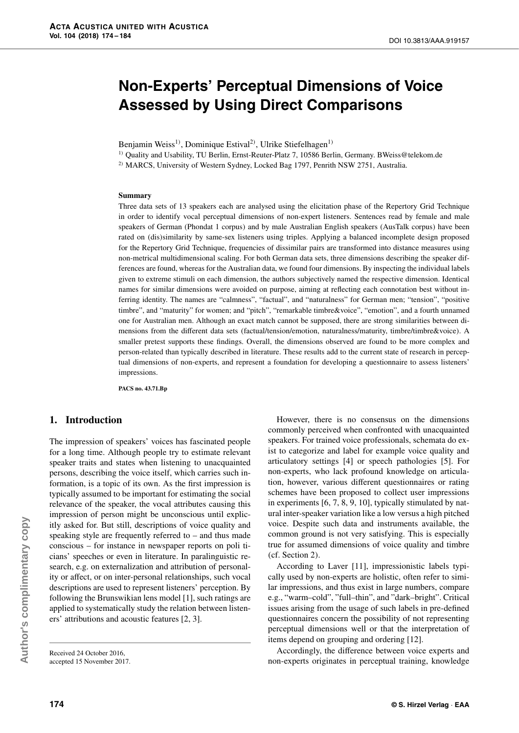# **Non-Experts' Perceptual Dimensions of Voice Assessed by Using Direct Comparisons**

Benjamin Weiss<sup>1)</sup>, Dominique Estival<sup>2)</sup>, Ulrike Stiefelhagen<sup>1)</sup>

<sup>1)</sup> Quality and Usability, TU Berlin, Ernst-Reuter-Platz 7, 10586 Berlin, Germany. BWeiss@telekom.de

<sup>2)</sup> MARCS, University of Western Sydney, Locked Bag 1797, Penrith NSW 2751, Australia.

#### **Summary**

Three data sets of 13 speakers each are analysed using the elicitation phase of the Repertory Grid Technique in order to identify vocal perceptual dimensions of non-expert listeners. Sentences read by female and male speakers of German (Phondat 1 corpus) and by male Australian English speakers (AusTalk corpus) have been rated on (dis)similarity by same-sex listeners using triples. Applying a balanced incomplete design proposed for the Repertory Grid Technique, frequencies of dissimilar pairs are transformed into distance measures using non-metrical multidimensional scaling. For both German data sets, three dimensions describing the speaker differences are found, whereas for the Australian data, we found four dimensions. By inspecting the individual labels given to extreme stimuli on each dimension, the authors subjectively named the respective dimension. Identical names for similar dimensions were avoided on purpose, aiming at reflecting each connotation best without inferring identity. The names are "calmness", "factual", and "naturalness" for German men; "tension", "positive timbre", and "maturity" for women; and "pitch", "remarkable timbre&voice", "emotion", and a fourth unnamed one for Australian men. Although an exact match cannot be supposed, there are strong similarities between dimensions from the different data sets (factual/tension/emotion, naturalness/maturity, timbre/timbre&voice). A smaller pretest supports these findings. Overall, the dimensions observed are found to be more complex and person-related than typically described in literature. These results add to the current state of research in perceptual dimensions of non-experts, and represent a foundation for developing a questionnaire to assess listeners' impressions.

**PACS no. 43.71.Bp**

## **1. Introduction**

The impression of speakers' voices has fascinated people for a long time. Although people try to estimate relevant speaker traits and states when listening to unacquainted persons, describing the voice itself, which carries such information, is a topic of its own. As the first impression is typically assumed to be important for estimating the social relevance of the speaker, the vocal attributes causing this impression of person might be unconscious until explicitly asked for. But still, descriptions of voice quality and speaking style are frequently referred to – and thus made conscious – for instance in newspaper reports on poli ticians' speeches or even in literature. In paralinguistic research, e.g. on externalization and attribution of personality or affect, or on inter-personal relationships, such vocal descriptions are used to represent listeners' perception. By following the Brunswikian lens model [1], such ratings are applied to systematically study the relation between listeners' attributions and acoustic features [2, 3].

However, there is no consensus on the dimensions commonly perceived when confronted with unacquainted speakers. For trained voice professionals, schemata do exist to categorize and label for example voice quality and articulatory settings [4] or speech pathologies [5]. For non-experts, who lack profound knowledge on articulation, however, various different questionnaires or rating schemes have been proposed to collect user impressions in experiments [6, 7, 8, 9, 10], typically stimulated by natural inter-speaker variation like a low versus a high pitched voice. Despite such data and instruments available, the common ground is not very satisfying. This is especially true for assumed dimensions of voice quality and timbre (cf. Section 2).

According to Laver [11], impressionistic labels typically used by non-experts are holistic, often refer to similar impressions, and thus exist in large numbers, compare e.g., "warm–cold", "full–thin", and "dark–bright". Critical issues arising from the usage of such labels in pre-defined questionnaires concern the possibility of not representing perceptual dimensions well or that the interpretation of items depend on grouping and ordering [12].

Accordingly, the difference between voice experts and non-experts originates in perceptual training, knowledge

Received 24 October 2016, accepted 15 November 2017.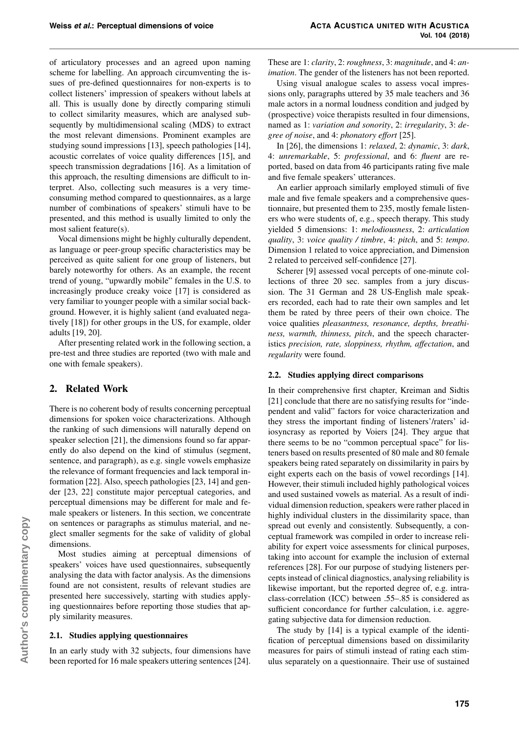of articulatory processes and an agreed upon naming scheme for labelling. An approach circumventing the issues of pre-defined questionnaires for non-experts is to collect listeners' impression of speakers without labels at all. This is usually done by directly comparing stimuli to collect similarity measures, which are analysed subsequently by multidimensional scaling (MDS) to extract the most relevant dimensions. Prominent examples are studying sound impressions [13], speech pathologies [14], acoustic correlates of voice quality differences [15], and speech transmission degradations [16]. As a limitation of this approach, the resulting dimensions are difficult to interpret. Also, collecting such measures is a very timeconsuming method compared to questionnaires, as a large number of combinations of speakers' stimuli have to be presented, and this method is usually limited to only the most salient feature(s).

Vocal dimensions might be highly culturally dependent, as language or peer-group specific characteristics may be perceived as quite salient for one group of listeners, but barely noteworthy for others. As an example, the recent trend of young, "upwardly mobile" females in the U.S. to increasingly produce creaky voice [17] is considered as very familiar to younger people with a similar social background. However, it is highly salient (and evaluated negatively [18]) for other groups in the US, for example, older adults [19, 20].

After presenting related work in the following section, a pre-test and three studies are reported (two with male and one with female speakers).

# **2. Related Work**

There is no coherent body of results concerning perceptual dimensions for spoken voice characterizations. Although the ranking of such dimensions will naturally depend on speaker selection [21], the dimensions found so far apparently do also depend on the kind of stimulus (segment, sentence, and paragraph), as e.g. single vowels emphasize the relevance of formant frequencies and lack temporal information [22]. Also, speech pathologies [23, 14] and gender [23, 22] constitute major perceptual categories, and perceptual dimensions may be different for male and female speakers or listeners. In this section, we concentrate on sentences or paragraphs as stimulus material, and neglect smaller segments for the sake of validity of global dimensions.

Most studies aiming at perceptual dimensions of speakers' voices have used questionnaires, subsequently analysing the data with factor analysis. As the dimensions found are not consistent, results of relevant studies are presented here successively, starting with studies applying questionnaires before reporting those studies that apply similarity measures.

### **2.1. Studies applying questionnaires**

In an early study with 32 subjects, four dimensions have been reported for 16 male speakers uttering sentences [24]. These are 1: *clarity*, 2: *roughness*, 3: *magnitude*, and 4: *an*imation. The gender of the listeners has not been reported.

Using visual analogue scales to assess vocal impressions only, paragraphs uttered by 35 male teachers and 36 male actors in a normal loudness condition and judged by (prospective) voice therapists resulted in four dimensions, named as 1: variation and sonority, 2: irregularity, 3: degree of noise, and 4: phonatory e*ff*ort [25].

In [26], the dimensions 1: relaxed, 2: dynamic, 3: dark, 4: unremarkable, 5: professional, and 6: fluent are reported, based on data from 46 participants rating five male and five female speakers' utterances.

An earlier approach similarly employed stimuli of five male and five female speakers and a comprehensive questionnaire, but presented them to 235, mostly female listeners who were students of, e.g., speech therapy. This study yielded 5 dimensions: 1: melodiousness, 2: articulation quality, 3: voice quality / timbre, 4: pitch, and 5: tempo. Dimension 1 related to voice appreciation, and Dimension 2 related to perceived self-confidence [27].

Scherer [9] assessed vocal percepts of one-minute collections of three 20 sec. samples from a jury discussion. The 31 German and 28 US-English male speakers recorded, each had to rate their own samples and let them be rated by three peers of their own choice. The voice qualities pleasantness, resonance, depths, breathiness, warmth, thinness, pitch, and the speech characteristics precision, rate, sloppiness, rhythm, a*ff*ectation, and regularity were found.

## **2.2. Studies applying direct comparisons**

In their comprehensive first chapter, Kreiman and Sidtis [21] conclude that there are no satisfying results for "independent and valid" factors for voice characterization and they stress the important finding of listeners'/raters' idiosyncrasy as reported by Voiers [24]. They argue that there seems to be no "common perceptual space" for listeners based on results presented of 80 male and 80 female speakers being rated separately on dissimilarity in pairs by eight experts each on the basis of vowel recordings [14]. However, their stimuli included highly pathological voices and used sustained vowels as material. As a result of individual dimension reduction, speakers were rather placed in highly individual clusters in the dissimilarity space, than spread out evenly and consistently. Subsequently, a conceptual framework was compiled in order to increase reliability for expert voice assessments for clinical purposes, taking into account for example the inclusion of external references [28]. For our purpose of studying listeners percepts instead of clinical diagnostics, analysing reliability is likewise important, but the reported degree of, e.g. intraclass-correlation (ICC) between .55–.85 is considered as sufficient concordance for further calculation, i.e. aggregating subjective data for dimension reduction.

The study by [14] is a typical example of the identification of perceptual dimensions based on dissimilarity measures for pairs of stimuli instead of rating each stimulus separately on a questionnaire. Their use of sustained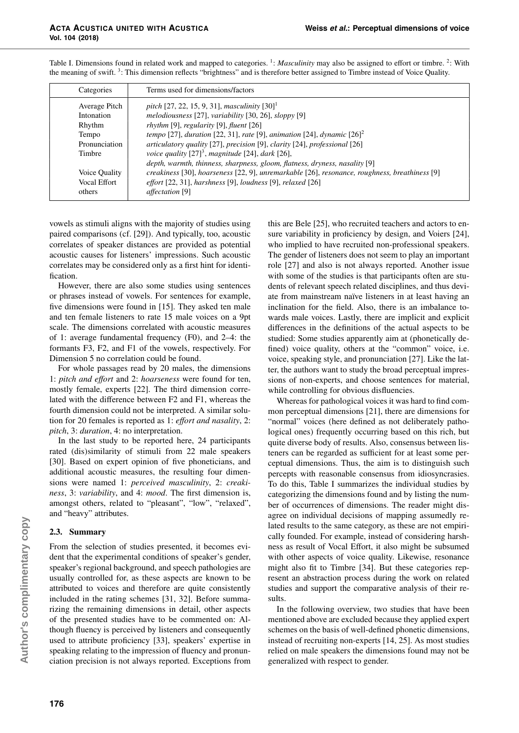| Categories    | Terms used for dimensions/factors                                                             |
|---------------|-----------------------------------------------------------------------------------------------|
| Average Pitch | pitch [27, 22, 15, 9, 31], masculinity $[30]$ <sup>1</sup>                                    |
| Intonation    | melodiousness [27], variability [30, 26], sloppy $[9]$                                        |
| Rhythm        | rhythm [9], regularity [9], fluent $[26]$                                                     |
| Tempo         | tempo [27], duration [22, 31], rate [9], animation [24], dynamic $[26]$ <sup>2</sup>          |
| Pronunciation | articulatory quality [27], precision [9], clarity [24], professional [26]                     |
| Timbre        | voice quality $[27]^3$ , magnitude [24], dark [26],                                           |
|               | depth, warmth, thinness, sharpness, gloom, flatness, dryness, nasality [9]                    |
| Voice Quality | creakiness [30], hoarseness [22, 9], unremarkable [26], resonance, roughness, breathiness [9] |
| Vocal Effort  | effort $[22, 31]$ , harshness $[9]$ , loudness $[9]$ , relaxed $[26]$                         |
| others        | affectation [9]                                                                               |
|               |                                                                                               |

Table I. Dimensions found in related work and mapped to categories.  $\frac{1}{1}$ : *Masculinity* may also be assigned to effort or timbre.  $\frac{2}{1}$ : With the meaning of swift.<sup>3</sup>: This dimension reflects "brightness" and is therefore better assigned to Timbre instead of Voice Quality.

vowels as stimuli aligns with the majority of studies using paired comparisons (cf. [29]). And typically, too, acoustic correlates of speaker distances are provided as potential acoustic causes for listeners' impressions. Such acoustic correlates may be considered only as a first hint for identification.

However, there are also some studies using sentences or phrases instead of vowels. For sentences for example, five dimensions were found in [15]. They asked ten male and ten female listeners to rate 15 male voices on a 9pt scale. The dimensions correlated with acoustic measures of 1: average fundamental frequency (F0), and 2–4: the formants F3, F2, and F1 of the vowels, respectively. For Dimension 5 no correlation could be found.

For whole passages read by 20 males, the dimensions 1: pitch and e*ff*ort and 2: hoarseness were found for ten, mostly female, experts [22]. The third dimension correlated with the difference between F2 and F1, whereas the fourth dimension could not be interpreted. A similar solution for 20 females is reported as 1: e*ff*ort and nasality, 2: pitch, 3: duration, 4: no interpretation.

In the last study to be reported here, 24 participants rated (dis)similarity of stimuli from 22 male speakers [30]. Based on expert opinion of five phoneticians, and additional acoustic measures, the resulting four dimensions were named 1: perceived masculinity, 2: creakiness, 3: variability, and 4: *mood*. The first dimension is, amongst others, related to "pleasant", "low", "relaxed", and "heavy" attributes.

# **2.3. Summary**

From the selection of studies presented, it becomes evident that the experimental conditions of speaker's gender, speaker's regional background, and speech pathologies are usually controlled for, as these aspects are known to be attributed to voices and therefore are quite consistently included in the rating schemes [31, 32]. Before summarizing the remaining dimensions in detail, other aspects of the presented studies have to be commented on: Although fluency is perceived by listeners and consequently used to attribute proficiency [33], speakers' expertise in speaking relating to the impression of fluency and pronunciation precision is not always reported. Exceptions from this are Bele [25], who recruited teachers and actors to ensure variability in proficiency by design, and Voiers [24], who implied to have recruited non-professional speakers. The gender of listeners does not seem to play an important role [27] and also is not always reported. Another issue with some of the studies is that participants often are students of relevant speech related disciplines, and thus deviate from mainstream naïve listeners in at least having an inclination for the field. Also, there is an imbalance towards male voices. Lastly, there are implicit and explicit differences in the definitions of the actual aspects to be studied: Some studies apparently aim at (phonetically defined) voice quality, others at the "common" voice, i.e. voice, speaking style, and pronunciation [27]. Like the latter, the authors want to study the broad perceptual impressions of non-experts, and choose sentences for material, while controlling for obvious disfluencies.

Whereas for pathological voices it was hard to find common perceptual dimensions [21], there are dimensions for "normal" voices (here defined as not deliberately pathological ones) frequently occurring based on this rich, but quite diverse body of results. Also, consensus between listeners can be regarded as sufficient for at least some perceptual dimensions. Thus, the aim is to distinguish such percepts with reasonable consensus from idiosyncrasies. To do this, Table I summarizes the individual studies by categorizing the dimensions found and by listing the number of occurrences of dimensions. The reader might disagree on individual decisions of mapping assumedly related results to the same category, as these are not empirically founded. For example, instead of considering harshness as result of Vocal Effort, it also might be subsumed with other aspects of voice quality. Likewise, resonance might also fit to Timbre [34]. But these categories represent an abstraction process during the work on related studies and support the comparative analysis of their results.

In the following overview, two studies that have been mentioned above are excluded because they applied expert schemes on the basis of well-defined phonetic dimensions, instead of recruiting non-experts [14, 25]. As most studies relied on male speakers the dimensions found may not be generalized with respect to gender.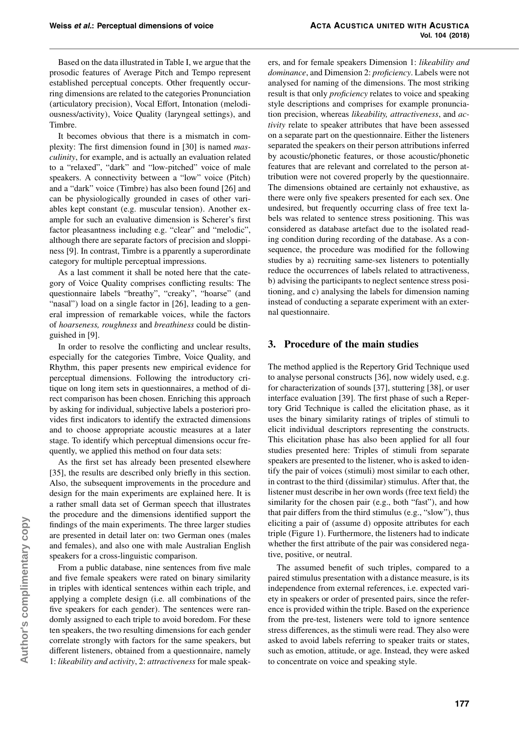Based on the data illustrated in Table I, we argue that the prosodic features of Average Pitch and Tempo represent established perceptual concepts. Other frequently occurring dimensions are related to the categories Pronunciation (articulatory precision), Vocal Effort, Intonation (melodiousness/activity), Voice Quality (laryngeal settings), and Timbre.

It becomes obvious that there is a mismatch in complexity: The first dimension found in [30] is named masculinity, for example, and is actually an evaluation related to a "relaxed", "dark" and "low-pitched" voice of male speakers. A connectivity between a "low" voice (Pitch) and a "dark" voice (Timbre) has also been found [26] and can be physiologically grounded in cases of other variables kept constant (e.g. muscular tension). Another example for such an evaluative dimension is Scherer's first factor pleasantness including e.g. "clear" and "melodic", although there are separate factors of precision and sloppiness [9]. In contrast, Timbre is a pparently a superordinate category for multiple perceptual impressions.

As a last comment it shall be noted here that the category of Voice Quality comprises conflicting results: The questionnaire labels "breathy", "creaky", "hoarse" (and "nasal") load on a single factor in [26], leading to a general impression of remarkable voices, while the factors of hoarseness, roughness and breathiness could be distinguished in [9].

In order to resolve the conflicting and unclear results, especially for the categories Timbre, Voice Quality, and Rhythm, this paper presents new empirical evidence for perceptual dimensions. Following the introductory critique on long item sets in questionnaires, a method of direct comparison has been chosen. Enriching this approach by asking for individual, subjective labels a posteriori provides first indicators to identify the extracted dimensions and to choose appropriate acoustic measures at a later stage. To identify which perceptual dimensions occur frequently, we applied this method on four data sets:

As the first set has already been presented elsewhere [35], the results are described only briefly in this section. Also, the subsequent improvements in the procedure and design for the main experiments are explained here. It is a rather small data set of German speech that illustrates the procedure and the dimensions identified support the findings of the main experiments. The three larger studies are presented in detail later on: two German ones (males and females), and also one with male Australian English speakers for a cross-linguistic comparison.

From a public database, nine sentences from five male and five female speakers were rated on binary similarity in triples with identical sentences within each triple, and applying a complete design (i.e. all combinations of the five speakers for each gender). The sentences were randomly assigned to each triple to avoid boredom. For these ten speakers, the two resulting dimensions for each gender correlate strongly with factors for the same speakers, but different listeners, obtained from a questionnaire, namely 1: likeability and activity, 2: attractiveness for male speak-

ers, and for female speakers Dimension 1: likeability and dominance, and Dimension 2: *proficiency*. Labels were not analysed for naming of the dimensions. The most striking result is that only proficiency relates to voice and speaking style descriptions and comprises for example pronunciation precision, whereas likeability, attractiveness, and activity relate to speaker attributes that have been assessed on a separate part on the questionnaire. Either the listeners separated the speakers on their person attributions inferred by acoustic/phonetic features, or those acoustic/phonetic features that are relevant and correlated to the person attribution were not covered properly by the questionnaire. The dimensions obtained are certainly not exhaustive, as there were only five speakers presented for each sex. One undesired, but frequently occurring class of free text labels was related to sentence stress positioning. This was considered as database artefact due to the isolated reading condition during recording of the database. As a consequence, the procedure was modified for the following studies by a) recruiting same-sex listeners to potentially reduce the occurrences of labels related to attractiveness, b) advising the participants to neglect sentence stress positioning, and c) analysing the labels for dimension naming instead of conducting a separate experiment with an external questionnaire.

# **3. Procedure of the main studies**

The method applied is the Repertory Grid Technique used to analyse personal constructs [36], now widely used, e.g. for characterization of sounds [37], stuttering [38], or user interface evaluation [39]. The first phase of such a Repertory Grid Technique is called the elicitation phase, as it uses the binary similarity ratings of triples of stimuli to elicit individual descriptors representing the constructs. This elicitation phase has also been applied for all four studies presented here: Triples of stimuli from separate speakers are presented to the listener, who is asked to identify the pair of voices (stimuli) most similar to each other, in contrast to the third (dissimilar) stimulus. After that, the listener must describe in her own words (free text field) the similarity for the chosen pair (e.g., both "fast"), and how that pair differs from the third stimulus (e.g., "slow"), thus eliciting a pair of (assume d) opposite attributes for each triple (Figure 1). Furthermore, the listeners had to indicate whether the first attribute of the pair was considered negative, positive, or neutral.

The assumed benefit of such triples, compared to a paired stimulus presentation with a distance measure, is its independence from external references, i.e. expected variety in speakers or order of presented pairs, since the reference is provided within the triple. Based on the experience from the pre-test, listeners were told to ignore sentence stress differences, as the stimuli were read. They also were asked to avoid labels referring to speaker traits or states, such as emotion, attitude, or age. Instead, they were asked to concentrate on voice and speaking style.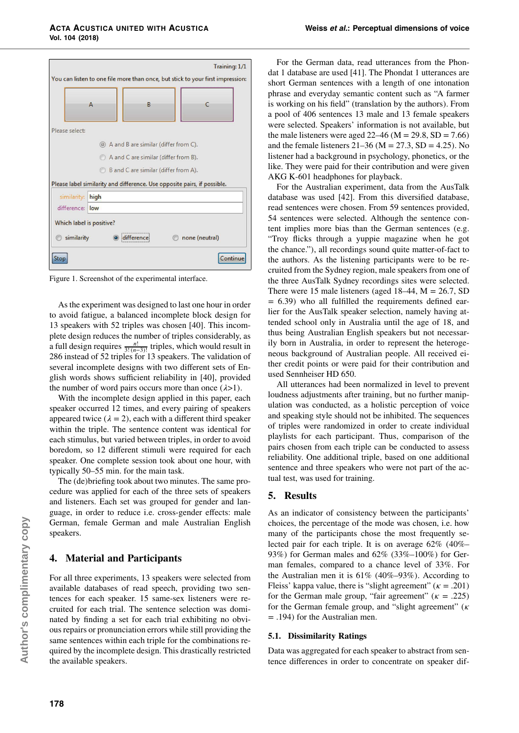|                                                                                | Training: 1/1                        |                |  |  |  |  |
|--------------------------------------------------------------------------------|--------------------------------------|----------------|--|--|--|--|
| You can listen to one file more than once, but stick to your first impression: |                                      |                |  |  |  |  |
| А                                                                              | B                                    |                |  |  |  |  |
| Please select:                                                                 |                                      |                |  |  |  |  |
|                                                                                | A and B are similar (differ from C). |                |  |  |  |  |
|                                                                                | A and C are similar (differ from B). |                |  |  |  |  |
| B and C are similar (differ from A).                                           |                                      |                |  |  |  |  |
| Please label similarity and difference. Use opposite pairs, if possible.       |                                      |                |  |  |  |  |
| similarity:<br>high                                                            |                                      |                |  |  |  |  |
| difference: low                                                                |                                      |                |  |  |  |  |
| Which label is positive?                                                       |                                      |                |  |  |  |  |
| similarity                                                                     |                                      | none (neutral) |  |  |  |  |
| Stor                                                                           |                                      | <b>ontinu</b>  |  |  |  |  |

Figure 1. Screenshot of the experimental interface.

Asthe experiment was designed to last one hour in order to avoid fatigue, a balanced incomplete block design for 13 speakers with 52 triples was chosen [40]. This incomplete design reduces the number of triples considerably, as a full design requires  $\frac{n!}{3!(n-3)!}$  triples, which would result in 286 instead of 52 triples for 13 speakers. The validation of several incomplete designs with two different sets of English words shows sufficient reliability in [40], provided the number of word pairs occurs more than once (*λ*>1).

With the incomplete design applied in this paper, each speaker occurred 12 times, and every pairing of speakers appeared twice  $(\lambda = 2)$ , each with a different third speaker within the triple. The sentence content was identical for each stimulus, but varied between triples, in order to avoid boredom, so 12 different stimuli were required for each speaker. One complete session took about one hour, with typically 50–55 min. for the main task.

The (de)briefing took about two minutes. The same procedure was applied for each of the three sets of speakers and listeners. Each set was grouped for gender and language, in order to reduce i.e. cross-gender effects: male German, female German and male Australian English speakers.

# **4. Material and Participants**

For all three experiments, 13 speakers were selected from available databases of read speech, providing two sentences for each speaker. 15 same-sex listeners were recruited for each trial. The sentence selection was dominated by finding a set for each trial exhibiting no obviousrepairs or pronunciation errors while still providing the same sentences within each triple for the combinations required by the incomplete design. This drastically restricted the available speakers.

For the German data, read utterances from the Phondat 1 database are used [41]. The Phondat 1 utterances are short German sentences with a length of one intonation phrase and everyday semantic content such as "A farmer is working on his field" (translation by the authors). From a pool of 406 sentences 13 male and 13 female speakers were selected. Speakers' information is not available, but the male listeners were aged  $22-46$  (M = 29.8, SD = 7.66) and the female listeners  $21-36$  (M =  $27.3$ , SD = 4.25). No listener had a background in psychology, phonetics, or the like. They were paid for their contribution and were given AKG K-601 headphones for playback.

For the Australian experiment, data from the AusTalk database was used [42]. From this diversified database, read sentences were chosen. From 59 sentences provided, 54 sentences were selected. Although the sentence content implies more bias than the German sentences (e.g. "Troy flicks through a yuppie magazine when he got the chance."), all recordings sound quite matter-of-fact to the authors. As the listening participants were to be recruited from the Sydney region, male speakers from one of the three AusTalk Sydney recordings sites were selected. There were 15 male listeners (aged  $18-44$ , M = 26.7, SD  $= 6.39$ ) who all fulfilled the requirements defined earlier for the AusTalk speaker selection, namely having attended school only in Australia until the age of 18, and thus being Australian English speakers but not necessarily born in Australia, in order to represent the heterogeneous background of Australian people. All received either credit points or were paid for their contribution and used Sennheiser HD 650.

All utterances had been normalized in level to prevent loudness adjustments after training, but no further manipulation was conducted, as a holistic perception of voice and speaking style should not be inhibited. The sequences of triples were randomized in order to create individual playlists for each participant. Thus, comparison of the pairs chosen from each triple can be conducted to assess reliability. One additional triple, based on one additional sentence and three speakers who were not part of the actual test, was used for training.

## **5. Results**

As an indicator of consistency between the participants' choices, the percentage of the mode was chosen, i.e. how many of the participants chose the most frequently selected pair for each triple. It is on average 62% (40%– 93%) for German males and 62% (33%–100%) for German females, compared to a chance level of 33%. For the Australian men it is 61% (40%–93%). According to Fleiss' kappa value, there is "slight agreement" (*κ* = .201) for the German male group, "fair agreement"  $(\kappa = .225)$ for the German female group, and "slight agreement" (*κ* = .194) for the Australian men.

### **5.1. Dissimilarity Ratings**

Data was aggregated for each speaker to abstract from sentence differences in order to concentrate on speaker dif-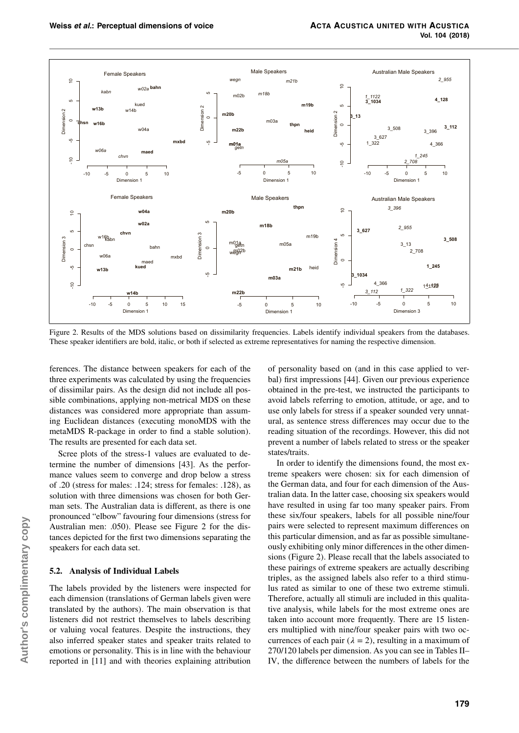

Figure 2. Results of the MDS solutions based on dissimilarity frequencies. Labels identify individual speakers from the databases. These speaker identifiers are bold, italic, or both if selected as extreme representatives for naming the respective dimension.

ferences. The distance between speakers for each of the three experiments was calculated by using the frequencies of dissimilar pairs. As the design did not include all possible combinations, applying non-metrical MDS on these distances was considered more appropriate than assuming Euclidean distances (executing monoMDS with the metaMDS R-package in order to find a stable solution). The results are presented for each data set.

Scree plots of the stress-1 values are evaluated to determine the number of dimensions [43]. As the performance values seem to converge and drop below a stress of .20 (stress for males: .124; stress for females: .128), as solution with three dimensions was chosen for both German sets. The Australian data is different, as there is one pronounced "elbow" favouring four dimensions (stress for Australian men: .050). Please see Figure 2 for the distances depicted for the first two dimensions separating the speakers for each data set.

#### **5.2. Analysis of Individual Labels**

The labels provided by the listeners were inspected for each dimension (translations of German labels given were translated by the authors). The main observation is that listeners did not restrict themselves to labels describing or valuing vocal features. Despite the instructions, they also inferred speaker states and speaker traits related to emotions or personality. This is in line with the behaviour reported in [11] and with theories explaining attribution

of personality based on (and in this case applied to verbal) first impressions [44]. Given our previous experience obtained in the pre-test, we instructed the participants to avoid labels referring to emotion, attitude, or age, and to use only labels for stress if a speaker sounded very unnatural, as sentence stress differences may occur due to the reading situation of the recordings. However, this did not prevent a number of labels related to stress or the speaker states/traits.

In order to identify the dimensions found, the most extreme speakers were chosen: six for each dimension of the German data, and four for each dimension of the Australian data. In the latter case, choosing six speakers would have resulted in using far too many speaker pairs. From these six/four speakers, labels for all possible nine/four pairs were selected to represent maximum differences on this particular dimension, and as far as possible simultaneously exhibiting only minor differences in the other dimensions (Figure 2). Please recall that the labels associated to these pairings of extreme speakers are actually describing triples, as the assigned labels also refer to a third stimulus rated as similar to one of these two extreme stimuli. Therefore, actually all stimuli are included in this qualitative analysis, while labels for the most extreme ones are taken into account more frequently. There are 15 listeners multiplied with nine/four speaker pairs with two occurrences of each pair  $(\lambda = 2)$ , resulting in a maximum of 270/120 labels per dimension. As you can see in Tables II– IV, the difference between the numbers of labels for the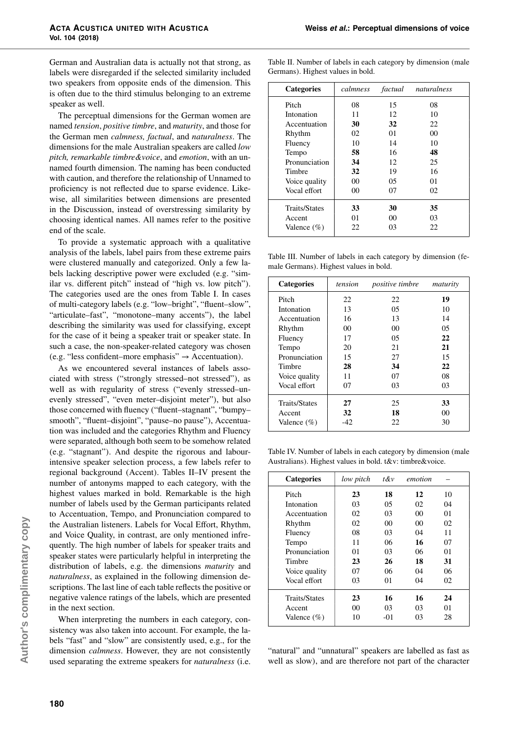German and Australian data is actually not that strong, as labels were disregarded if the selected similarity included two speakers from opposite ends of the dimension. This is often due to the third stimulus belonging to an extreme speaker as well.

The perceptual dimensions for the German women are named tension, positive timbre, and maturity, and those for the German men calmness, factual, and naturalness. The dimensions for the male Australian speakers are called low pitch, remarkable timbre&voice, and emotion, with an unnamed fourth dimension. The naming has been conducted with caution, and therefore the relationship of Unnamed to proficiency is not reflected due to sparse evidence. Likewise, all similarities between dimensions are presented in the Discussion, instead of overstressing similarity by choosing identical names. All names refer to the positive end of the scale.

To provide a systematic approach with a qualitative analysis of the labels, label pairs from these extreme pairs were clustered manually and categorized. Only a few labels lacking descriptive power were excluded (e.g. "similar vs. different pitch" instead of "high vs. low pitch"). The categories used are the ones from Table I. In cases of multi-category labels (e.g. "low–bright", "fluent–slow", "articulate–fast", "monotone–many accents"), the label describing the similarity was used for classifying, except for the case of it being a speaker trait or speaker state. In such a case, the non-speaker-related category was chosen (e.g. "less confident–more emphasis"  $\rightarrow$  Accentuation).

As we encountered several instances of labels associated with stress ("strongly stressed–not stressed"), as well as with regularity of stress ("evenly stressed–unevenly stressed", "even meter–disjoint meter"), but also those concerned with fluency ("fluent–stagnant", "bumpy– smooth", "fluent-disjoint", "pause-no pause"), Accentuation was included and the categories Rhythm and Fluency were separated, although both seem to be somehow related (e.g. "stagnant"). And despite the rigorous and labourintensive speaker selection process, a few labels refer to regional background (Accent). Tables II–IV present the number of antonyms mapped to each category, with the highest values marked in bold. Remarkable is the high number of labels used by the German participants related to Accentuation, Tempo, and Pronunciation compared to the Australian listeners. Labels for Vocal Effort, Rhythm, and Voice Quality, in contrast, are only mentioned infrequently. The high number of labels for speaker traits and speaker states were particularly helpful in interpreting the distribution of labels, e.g. the dimensions maturity and naturalness, as explained in the following dimension descriptions. The last line of each table reflects the positive or negative valence ratings of the labels, which are presented in the next section.

When interpreting the numbers in each category, consistency was also taken into account. For example, the labels "fast" and "slow" are consistently used, e.g., for the dimension calmness. However, they are not consistently used separating the extreme speakers for naturalness (i.e.

Table II. Number of labels in each category by dimension (male Germans). Highest values in bold.

| <b>Categories</b>    | calmness        | factual        | naturalness |
|----------------------|-----------------|----------------|-------------|
| Pitch                | 08              | 15             | 08          |
| Intonation           | 11              | 12             | 10          |
| Accentuation         | 30              | 32             | 22          |
| Rhythm               | 02              | 01             | 00          |
| Fluency              | 10              | 14             | 10          |
| Tempo                | 58              | 16             | 48          |
| Pronunciation        | 34              | 12             | 25          |
| Timbre               | 32              | 19             | 16          |
| Voice quality        | 00 <sup>1</sup> | 05             | 01          |
| Vocal effort         | 00              | 07             | 02          |
| <b>Traits/States</b> | 33              | 30             | 35          |
| Accent               | 01              | 0 <sup>0</sup> | 03          |
| Valence $(\% )$      | 22              | 03             | 22          |

Table III. Number of labels in each category by dimension (female Germans). Highest values in bold.

| <b>Categories</b>    | tension | <i>positive timbre</i> | maturity |
|----------------------|---------|------------------------|----------|
| Pitch                | 22      | 22                     | 19       |
| Intonation           | 13      | 05                     | 10       |
| Accentuation         | 16      | 13                     | 14       |
| Rhythm               | 00      | 00                     | 05       |
| Fluency              | 17      | 05                     | 22       |
| Tempo                | 20      | 21                     | 21       |
| Pronunciation        | 15      | 27                     | 15       |
| Timbre               | 28      | 34                     | 22       |
| Voice quality        | 11      | 07                     | 08       |
| Vocal effort         | 07      | 03                     | 03       |
| <b>Traits/States</b> | 27      | 25                     | 33       |
| Accent               | 32      | 18                     | 00       |
| Valence $(\% )$      | -42     | 22                     | 30       |

Table IV. Number of labels in each category by dimension (male Australians). Highest values in bold. t&v: timbre&voice.

| <b>Categories</b>    | low pitch | $t$ &v | emotion |    |
|----------------------|-----------|--------|---------|----|
| Pitch                | 23        | 18     | 12      | 10 |
| Intonation           | 03        | 05     | 02      | 04 |
| Accentuation         | 02        | 03     | 00      | 01 |
| Rhythm               | 02        | 00     | 00      | 02 |
| Fluency              | 08        | 03     | 04      | 11 |
| Tempo                | 11        | 06     | 16      | 07 |
| Pronunciation        | 01        | 03     | 06      | 01 |
| Timbre               | 23        | 26     | 18      | 31 |
| Voice quality        | 07        | 06     | 04      | 06 |
| Vocal effort         | 03        | 01     | 04      | 02 |
| <b>Traits/States</b> | 23        | 16     | 16      | 24 |
| Accent               | 00        | 03     | 03      | 01 |
| Valence $(\%)$       | 10        | -01    | 03      | 28 |

"natural" and "unnatural" speakers are labelled as fast as well as slow), and are therefore not part of the character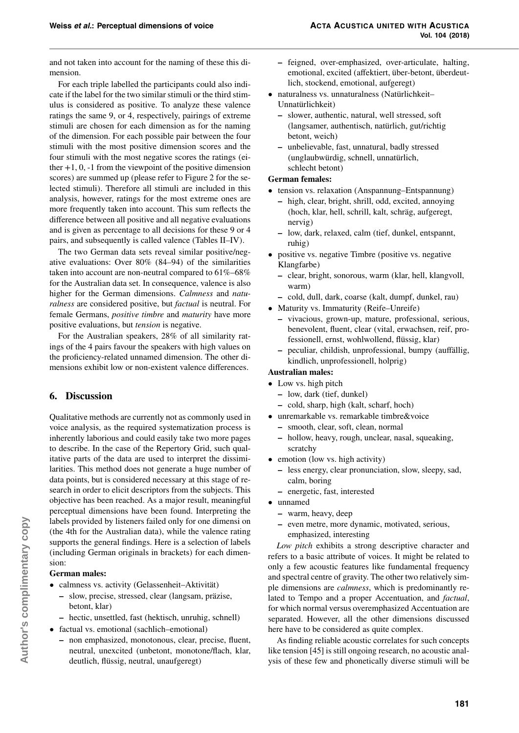and not taken into account for the naming of these this dimension.

For each triple labelled the participants could also indicate if the label for the two similar stimuli or the third stimulus is considered as positive. To analyze these valence ratings the same 9, or 4, respectively, pairings of extreme stimuli are chosen for each dimension as for the naming of the dimension. For each possible pair between the four stimuli with the most positive dimension scores and the four stimuli with the most negative scores the ratings (either  $+1$ , 0,  $-1$  from the viewpoint of the positive dimension scores) are summed up (please refer to Figure 2 for the selected stimuli). Therefore all stimuli are included in this analysis, however, ratings for the most extreme ones are more frequently taken into account. This sum reflects the difference between all positive and all negative evaluations and is given as percentage to all decisions for these 9 or 4 pairs, and subsequently is called valence (Tables II–IV).

The two German data sets reveal similar positive/negative evaluations: Over 80% (84–94) of the similarities taken into account are non-neutral compared to 61%–68% for the Australian data set. In consequence, valence is also higher for the German dimensions. Calmness and naturalness are considered positive, but factual is neutral. For female Germans, positive timbre and maturity have more positive evaluations, but tension is negative.

For the Australian speakers, 28% of all similarity ratings of the 4 pairs favour the speakers with high values on the proficiency-related unnamed dimension. The other dimensions exhibit low or non-existent valence differences.

# **6. Discussion**

Qualitative methods are currently not as commonly used in voice analysis, as the required systematization process is inherently laborious and could easily take two more pages to describe. In the case of the Repertory Grid, such qualitative parts of the data are used to interpret the dissimilarities. This method does not generate a huge number of data points, but is considered necessary at this stage of research in order to elicit descriptors from the subjects. This objective has been reached. As a major result, meaningful perceptual dimensions have been found. Interpreting the labels provided by listeners failed only for one dimensi on (the 4th for the Australian data), while the valence rating supports the general findings. Here is a selection of labels (including German originals in brackets) for each dimension:

#### **German males:**

- calmness vs. activity (Gelassenheit–Aktivität)
	- **–** slow, precise, stressed, clear (langsam, präzise, betont, klar)
	- **–** hectic, unsettled, fast (hektisch, unruhig, schnell)
- factual vs. emotional (sachlich–emotional)
	- **–** non emphasized, monotonous, clear, precise, fluent, neutral, unexcited (unbetont, monotone/flach, klar, deutlich, flüssig, neutral, unaufgeregt)
- **–** feigned, over-emphasized, over-articulate, halting, emotional, excited (affektiert, über-betont, überdeutlich, stockend, emotional, aufgeregt)
- naturalness vs. unnaturalness (Natürlichkeit– Unnatürlichkeit)
	- **–** slower, authentic, natural, well stressed, soft (langsamer, authentisch, natürlich, gut/richtig betont, weich)
	- **–** unbelievable, fast, unnatural, badly stressed (unglaubwürdig, schnell, unnatürlich, schlecht betont)

#### **German females:**

- tension vs. relaxation (Anspannung–Entspannung)
	- **–** high, clear, bright, shrill, odd, excited, annoying (hoch, klar, hell, schrill, kalt, schräg, aufgeregt, nervig)
	- **–** low, dark, relaxed, calm (tief, dunkel, entspannt, ruhig)
- positive vs. negative Timbre (positive vs. negative Klangfarbe)
	- **–** clear, bright, sonorous, warm (klar, hell, klangvoll, warm)
	- **–** cold, dull, dark, coarse (kalt, dumpf, dunkel, rau)
- Maturity vs. Immaturity (Reife–Unreife)
	- **–** vivacious, grown-up, mature, professional, serious, benevolent, fluent, clear (vital, erwachsen, reif, professionell, ernst, wohlwollend, flüssig, klar)
	- **–** peculiar, childish, unprofessional, bumpy (auffällig, kindlich, unprofessionell, holprig)

## **Australian males:**

- Low vs. high pitch
	- **–** low, dark (tief, dunkel)
	- **–** cold, sharp, high (kalt, scharf, hoch)
- unremarkable vs. remarkable timbre&voice
	- **–** smooth, clear, soft, clean, normal
	- **–** hollow, heavy, rough, unclear, nasal, squeaking, scratchy
- emotion (low vs. high activity)
	- **–** less energy, clear pronunciation, slow, sleepy, sad, calm, boring
	- **–** energetic, fast, interested
- unnamed
	- **–** warm, heavy, deep
	- **–** even metre, more dynamic, motivated, serious, emphasized, interesting

Low pitch exhibits a strong descriptive character and refers to a basic attribute of voices. It might be related to only a few acoustic features like fundamental frequency and spectral centre of gravity. The other two relatively simple dimensions are calmness, which is predominantly related to Tempo and a proper Accentuation, and factual, for which normal versus overemphasized Accentuation are separated. However, all the other dimensions discussed here have to be considered as quite complex.

As finding reliable acoustic correlates for such concepts like tension [45] is still ongoing research, no acoustic analysis of these few and phonetically diverse stimuli will be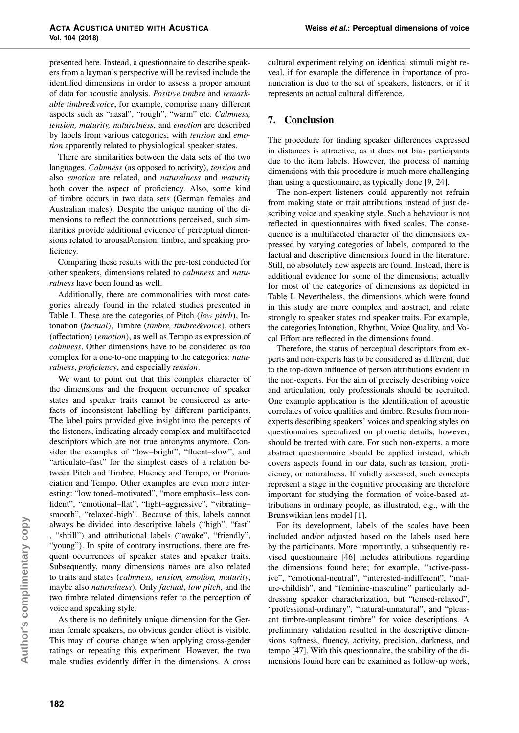presented here. Instead, a questionnaire to describe speakers from a layman's perspective will be revised include the identified dimensions in order to assess a proper amount of data for acoustic analysis. Positive timbre and remarkable timbre&voice, for example, comprise many different aspects such as "nasal", "rough", "warm" etc. Calmness, tension, maturity, naturalness, and emotion are described by labels from various categories, with tension and emotion apparently related to physiological speaker states.

There are similarities between the data sets of the two languages. Calmness (as opposed to activity), tension and also emotion are related, and naturalness and maturity both cover the aspect of proficiency. Also, some kind of timbre occurs in two data sets (German females and Australian males). Despite the unique naming of the dimensions to reflect the connotations perceived, such similarities provide additional evidence of perceptual dimensions related to arousal/tension, timbre, and speaking proficiency.

Comparing these results with the pre-test conducted for other speakers, dimensions related to calmness and naturalness have been found as well.

Additionally, there are commonalities with most categories already found in the related studies presented in Table I. These are the categories of Pitch (low pitch), Intonation (factual), Timbre (timbre, timbre&voice), others (affectation) (emotion), as well as Tempo as expression of calmness. Other dimensions have to be considered as too complex for a one-to-one mapping to the categories: naturalness, proficiency, and especially tension.

We want to point out that this complex character of the dimensions and the frequent occurrence of speaker states and speaker traits cannot be considered as artefacts of inconsistent labelling by different participants. The label pairs provided give insight into the percepts of the listeners, indicating already complex and multifaceted descriptors which are not true antonyms anymore. Consider the examples of "low–bright", "fluent–slow", and "articulate–fast" for the simplest cases of a relation between Pitch and Timbre, Fluency and Tempo, or Pronunciation and Tempo. Other examples are even more interesting: "low toned–motivated", "more emphasis–less confident", "emotional–flat", "light–aggressive", "vibrating– smooth", "relaxed-high". Because of this, labels cannot always be divided into descriptive labels ("high", "fast" , "shrill") and attributional labels ("awake", "friendly", "young"). In spite of contrary instructions, there are frequent occurrences of speaker states and speaker traits. Subsequently, many dimensions names are also related to traits and states (calmness, tension, emotion, maturity, maybe also naturalness). Only factual, low pitch, and the two timbre related dimensions refer to the perception of voice and speaking style.

As there is no definitely unique dimension for the German female speakers, no obvious gender effect is visible. This may of course change when applying cross-gender ratings or repeating this experiment. However, the two male studies evidently differ in the dimensions. A cross cultural experiment relying on identical stimuli might reveal, if for example the difference in importance of pronunciation is due to the set of speakers, listeners, or if it represents an actual cultural difference.

# **7. Conclusion**

The procedure for finding speaker differences expressed in distances is attractive, as it does not bias participants due to the item labels. However, the process of naming dimensions with this procedure is much more challenging than using a questionnaire, as typically done [9, 24].

The non-expert listeners could apparently not refrain from making state or trait attributions instead of just describing voice and speaking style. Such a behaviour is not reflected in questionnaires with fixed scales. The consequence is a multifaceted character of the dimensions expressed by varying categories of labels, compared to the factual and descriptive dimensions found in the literature. Still, no absolutely new aspects are found. Instead, there is additional evidence for some of the dimensions, actually for most of the categories of dimensions as depicted in Table I. Nevertheless, the dimensions which were found in this study are more complex and abstract, and relate strongly to speaker states and speaker traits. For example, the categories Intonation, Rhythm, Voice Quality, and Vocal Effort are reflected in the dimensions found.

Therefore, the status of perceptual descriptors from experts and non-experts has to be considered as different, due to the top-down influence of person attributions evident in the non-experts. For the aim of precisely describing voice and articulation, only professionals should be recruited. One example application is the identification of acoustic correlates of voice qualities and timbre. Results from nonexperts describing speakers' voices and speaking styles on questionnaires specialized on phonetic details, however, should be treated with care. For such non-experts, a more abstract questionnaire should be applied instead, which covers aspects found in our data, such as tension, proficiency, or naturalness. If validly assessed, such concepts represent a stage in the cognitive processing are therefore important for studying the formation of voice-based attributions in ordinary people, as illustrated, e.g., with the Brunswikian lens model [1].

For its development, labels of the scales have been included and/or adjusted based on the labels used here by the participants. More importantly, a subsequently revised questionnaire [46] includes attributions regarding the dimensions found here; for example, "active-passive", "emotional-neutral", "interested-indifferent", "mature-childish", and "feminine-masculine" particularly addressing speaker characterization, but "tensed-relaxed", "professional-ordinary", "natural-unnatural", and "pleasant timbre-unpleasant timbre" for voice descriptions. A preliminary validation resulted in the descriptive dimensions softness, fluency, activity, precision, darkness, and tempo [47]. With this questionnaire, the stability of the dimensions found here can be examined as follow-up work,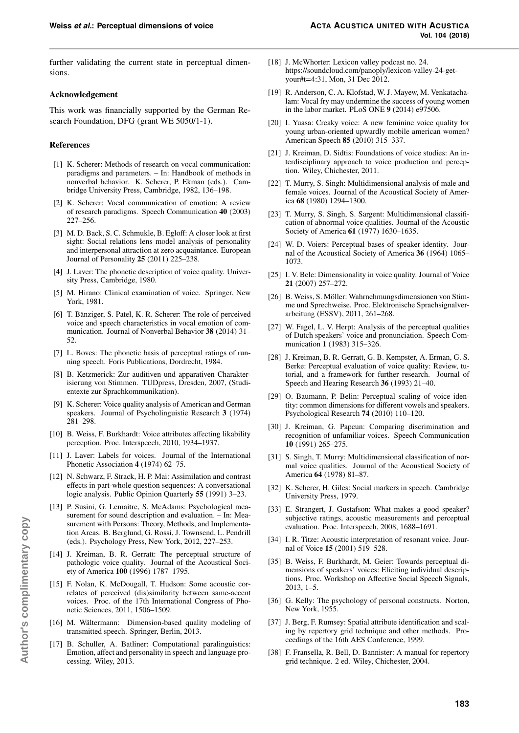further validating the current state in perceptual dimensions.

#### **Acknowledgement**

This work was financially supported by the German Research Foundation, DFG (grant WE 5050/1-1).

#### **References**

- [1] K. Scherer: Methods of research on vocal communication: paradigms and parameters. – In: Handbook of methods in nonverbal behavior. K. Scherer, P. Ekman (eds.). Cambridge University Press, Cambridge, 1982, 136–198.
- [2] K. Scherer: Vocal communication of emotion: A review of research paradigms. Speech Communication **40** (2003) 227–256.
- [3] M. D. Back, S. C. Schmukle, B. Egloff: A closer look at first sight: Social relations lens model analysis of personality and interpersonal attraction at zero acquaintance. European Journal of Personality **25** (2011) 225–238.
- [4] J. Laver: The phonetic description of voice quality. University Press, Cambridge, 1980.
- [5] M. Hirano: Clinical examination of voice. Springer, New York, 1981.
- [6] T. Bänziger, S. Patel, K. R. Scherer: The role of perceived voice and speech characteristics in vocal emotion of communication. Journal of Nonverbal Behavior **38** (2014) 31– 52.
- [7] L. Boves: The phonetic basis of perceptual ratings of running speech. Foris Publications, Dordrecht, 1984.
- [8] B. Ketzmerick: Zur auditiven und apparativen Charakterisierung von Stimmen. TUDpress, Dresden, 2007, (Studientexte zur Sprachkommunikation).
- [9] K. Scherer: Voice quality analysis of American and German speakers. Journal of Psycholinguistie Research **3** (1974) 281–298.
- [10] B. Weiss, F. Burkhardt: Voice attributes affecting likability perception. Proc. Interspeech, 2010, 1934–1937.
- [11] J. Laver: Labels for voices. Journal of the International Phonetic Association **4** (1974) 62–75.
- [12] N. Schwarz, F. Strack, H. P. Mai: Assimilation and contrast effects in part-whole question sequences: A conversational logic analysis. Public Opinion Quarterly **55** (1991) 3–23.
- [13] P. Susini, G. Lemaitre, S. McAdams: Psychological measurement for sound description and evaluation. – In: Measurement with Persons: Theory, Methods, and Implementation Areas. B. Berglund, G. Rossi, J. Townsend, L. Pendrill (eds.). Psychology Press, New York, 2012, 227–253.
- [14] J. Kreiman, B. R. Gerratt: The perceptual structure of pathologic voice quality. Journal of the Acoustical Society of America **100** (1996) 1787–1795.
- [15] F. Nolan, K. McDougall, T. Hudson: Some acoustic correlates of perceived (dis)similarity between same-accent voices. Proc. of the 17th International Congress of Phonetic Sciences, 2011, 1506–1509.
- [16] M. Wältermann: Dimension-based quality modeling of transmitted speech. Springer, Berlin, 2013.
- [17] B. Schuller, A. Batliner: Computational paralinguistics: Emotion, affect and personality in speech and language processing. Wiley, 2013.
- [18] J. McWhorter: Lexicon valley podcast no. 24. https://soundcloud.com/panoply/lexicon-valley-24-getyour#t=4:31, Mon, 31 Dec 2012.
- [19] R. Anderson, C. A. Klofstad, W. J. Mayew, M. Venkatachalam: Vocal fry may undermine the success of young women in the labor market. PLoS ONE **9** (2014) e97506.
- [20] I. Yuasa: Creaky voice: A new feminine voice quality for young urban-oriented upwardly mobile american women? American Speech **85** (2010) 315–337.
- [21] J. Kreiman, D. Sidtis: Foundations of voice studies: An interdisciplinary approach to voice production and perception. Wiley, Chichester, 2011.
- [22] T. Murry, S. Singh: Multidimensional analysis of male and female voices. Journal of the Acoustical Society of America **68** (1980) 1294–1300.
- [23] T. Murry, S. Singh, S. Sargent: Multidimensional classification of abnormal voice qualities. Journal of the Acoustic Society of America **61** (1977) 1630–1635.
- [24] W. D. Voiers: Perceptual bases of speaker identity. Journal of the Acoustical Society of America **36** (1964) 1065– 1073.
- [25] I. V. Bele: Dimensionality in voice quality. Journal of Voice **21** (2007) 257–272.
- [26] B. Weiss, S. Möller: Wahrnehmungsdimensionen von Stimme und Sprechweise. Proc. Elektronische Sprachsignalverarbeitung (ESSV), 2011, 261–268.
- [27] W. Fagel, L. V. Herpt: Analysis of the perceptual qualities of Dutch speakers' voice and pronunciation. Speech Communication **1** (1983) 315–326.
- [28] J. Kreiman, B. R. Gerratt, G. B. Kempster, A. Erman, G. S. Berke: Perceptual evaluation of voice quality: Review, tutorial, and a framework for further research. Journal of Speech and Hearing Research **36** (1993) 21–40.
- [29] O. Baumann, P. Belin: Perceptual scaling of voice identity: common dimensions for different vowels and speakers. Psychological Research **74** (2010) 110–120.
- [30] J. Kreiman, G. Papcun: Comparing discrimination and recognition of unfamiliar voices. Speech Communication **10** (1991) 265–275.
- [31] S. Singh, T. Murry: Multidimensional classification of normal voice qualities. Journal of the Acoustical Society of America **64** (1978) 81–87.
- [32] K. Scherer, H. Giles: Social markers in speech. Cambridge University Press, 1979.
- [33] E. Strangert, J. Gustafson: What makes a good speaker? subjective ratings, acoustic measurements and perceptual evaluation. Proc. Interspeech, 2008, 1688–1691.
- [34] I. R. Titze: Acoustic interpretation of resonant voice. Journal of Voice **15** (2001) 519–528.
- [35] B. Weiss, F. Burkhardt, M. Geier: Towards perceptual dimensions of speakers' voices: Eliciting individual descriptions. Proc. Workshop on Affective Social Speech Signals, 2013, 1–5.
- [36] G. Kelly: The psychology of personal constructs. Norton, New York, 1955.
- [37] J. Berg, F. Rumsey: Spatial attribute identification and scaling by repertory grid technique and other methods. Proceedings of the 16th AES Conference, 1999.
- [38] F. Fransella, R. Bell, D. Bannister: A manual for repertory grid technique. 2 ed. Wiley, Chichester, 2004.